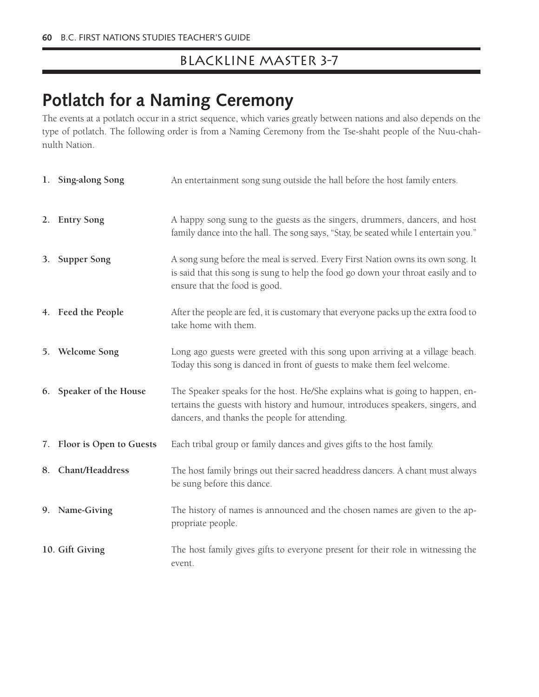### Blackline Master 3-7

# **Potlatch for a Naming Ceremony**

The events at a potlatch occur in a strict sequence, which varies greatly between nations and also depends on the type of potlatch. The following order is from a Naming Ceremony from the Tse-shaht people of the Nuu-chahnulth Nation.

| 1. Sing-along Song         | An entertainment song sung outside the hall before the host family enters.                                                                                                                                       |
|----------------------------|------------------------------------------------------------------------------------------------------------------------------------------------------------------------------------------------------------------|
| 2. Entry Song              | A happy song sung to the guests as the singers, drummers, dancers, and host<br>family dance into the hall. The song says, "Stay, be seated while I entertain you."                                               |
| 3. Supper Song             | A song sung before the meal is served. Every First Nation owns its own song. It<br>is said that this song is sung to help the food go down your throat easily and to<br>ensure that the food is good.            |
| 4. Feed the People         | After the people are fed, it is customary that everyone packs up the extra food to<br>take home with them.                                                                                                       |
| 5. Welcome Song            | Long ago guests were greeted with this song upon arriving at a village beach.<br>Today this song is danced in front of guests to make them feel welcome.                                                         |
| 6. Speaker of the House    | The Speaker speaks for the host. He/She explains what is going to happen, en-<br>tertains the guests with history and humour, introduces speakers, singers, and<br>dancers, and thanks the people for attending. |
| 7. Floor is Open to Guests | Each tribal group or family dances and gives gifts to the host family.                                                                                                                                           |
| 8. Chant/Headdress         | The host family brings out their sacred headdress dancers. A chant must always<br>be sung before this dance.                                                                                                     |
| 9. Name-Giving             | The history of names is announced and the chosen names are given to the ap-<br>propriate people.                                                                                                                 |
| 10. Gift Giving            | The host family gives gifts to everyone present for their role in witnessing the<br>event.                                                                                                                       |